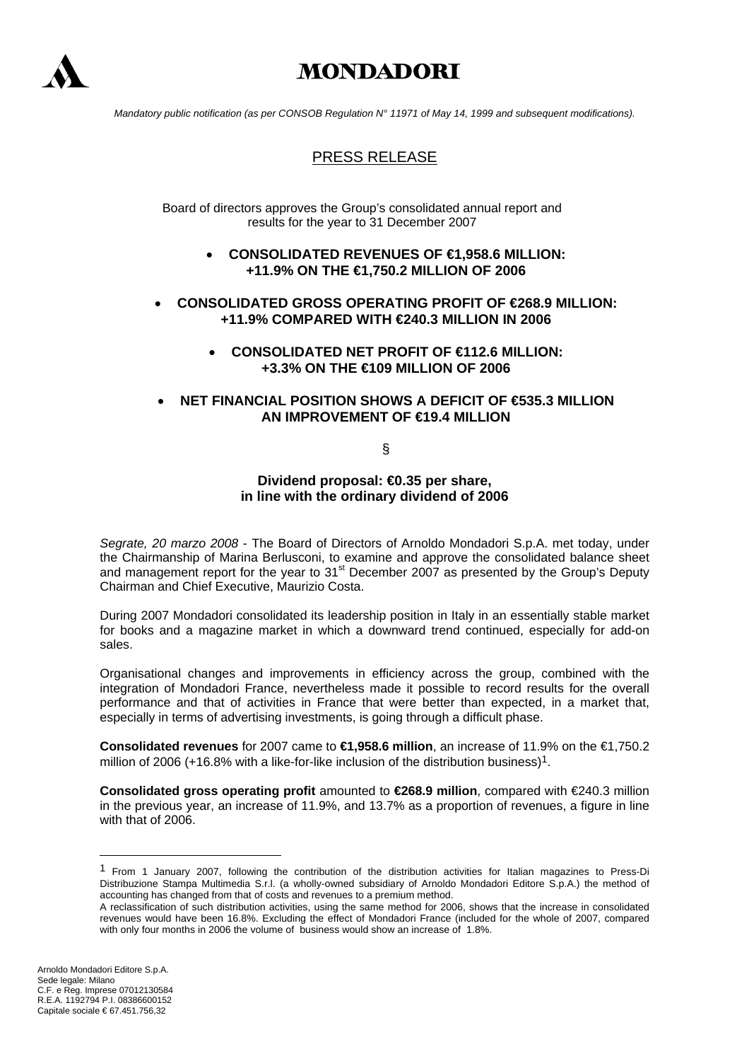

# **MONDADORI**

*Mandatory public notification (as per CONSOB Regulation N° 11971 of May 14, 1999 and subsequent modifications).* 

# PRESS RELEASE

Board of directors approves the Group's consolidated annual report and results for the year to 31 December 2007

- **CONSOLIDATED REVENUES OF €1,958.6 MILLION: +11.9% ON THE €1,750.2 MILLION OF 2006**
- **CONSOLIDATED GROSS OPERATING PROFIT OF €268.9 MILLION: +11.9% COMPARED WITH €240.3 MILLION IN 2006** 
	- **CONSOLIDATED NET PROFIT OF €112.6 MILLION: +3.3% ON THE €109 MILLION OF 2006**

# • **NET FINANCIAL POSITION SHOWS A DEFICIT OF €535.3 MILLION AN IMPROVEMENT OF €19.4 MILLION**

§

**Dividend proposal: €0.35 per share, in line with the ordinary dividend of 2006**

*Segrate, 20 marzo 2008* - The Board of Directors of Arnoldo Mondadori S.p.A. met today, under the Chairmanship of Marina Berlusconi, to examine and approve the consolidated balance sheet and management report for the year to  $31<sup>st</sup>$  December 2007 as presented by the Group's Deputy Chairman and Chief Executive, Maurizio Costa.

During 2007 Mondadori consolidated its leadership position in Italy in an essentially stable market for books and a magazine market in which a downward trend continued, especially for add-on sales.

Organisational changes and improvements in efficiency across the group, combined with the integration of Mondadori France, nevertheless made it possible to record results for the overall performance and that of activities in France that were better than expected, in a market that, especially in terms of advertising investments, is going through a difficult phase.

**Consolidated revenues** for 2007 came to **€1,958.6 million**, an increase of 11.9% on the €1,750.2 million of 2006 (+16.8% with a like-for-like inclusion of the distribution business)<sup>1</sup>.

**Consolidated gross operating profit** amounted to **€268.9 million**, compared with €240.3 million in the previous year, an increase of 11.9%, and 13.7% as a proportion of revenues, a figure in line with that of 2006.

 $\overline{a}$ 

<span id="page-0-0"></span><sup>1</sup> From 1 January 2007, following the contribution of the distribution activities for Italian magazines to Press-Di Distribuzione Stampa Multimedia S.r.l. (a wholly-owned subsidiary of Arnoldo Mondadori Editore S.p.A.) the method of accounting has changed from that of costs and revenues to a premium method.

A reclassification of such distribution activities, using the same method for 2006, shows that the increase in consolidated revenues would have been 16.8%. Excluding the effect of Mondadori France (included for the whole of 2007, compared with only four months in 2006 the volume of business would show an increase of 1.8%.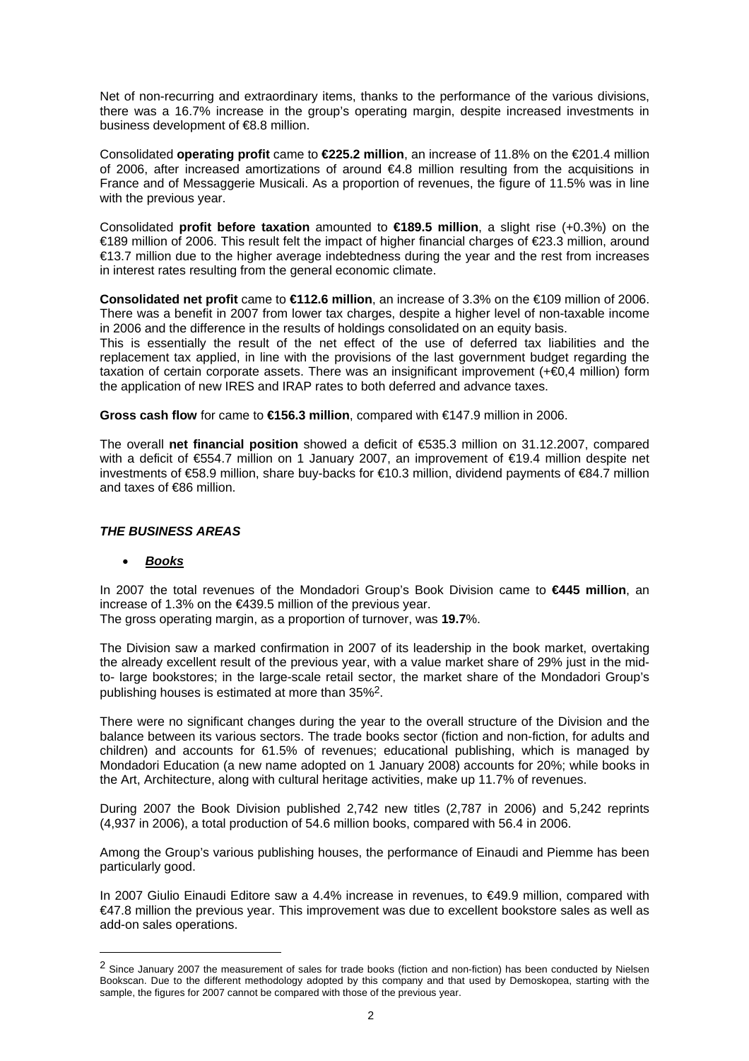Net of non-recurring and extraordinary items, thanks to the performance of the various divisions, there was a 16.7% increase in the group's operating margin, despite increased investments in business development of €8.8 million.

Consolidated **operating profit** came to **€225.2 million**, an increase of 11.8% on the €201.4 million of 2006, after increased amortizations of around €4.8 million resulting from the acquisitions in France and of Messaggerie Musicali. As a proportion of revenues, the figure of 11.5% was in line with the previous year.

Consolidated **profit before taxation** amounted to **€189.5 million**, a slight rise (+0.3%) on the €189 million of 2006. This result felt the impact of higher financial charges of €23.3 million, around €13.7 million due to the higher average indebtedness during the year and the rest from increases in interest rates resulting from the general economic climate.

**Consolidated net profit** came to **€112.6 million**, an increase of 3.3% on the €109 million of 2006. There was a benefit in 2007 from lower tax charges, despite a higher level of non-taxable income in 2006 and the difference in the results of holdings consolidated on an equity basis.

This is essentially the result of the net effect of the use of deferred tax liabilities and the replacement tax applied, in line with the provisions of the last government budget regarding the taxation of certain corporate assets. There was an insignificant improvement (+€0,4 million) form the application of new IRES and IRAP rates to both deferred and advance taxes.

**Gross cash flow** for came to **€156.3 million**, compared with €147.9 million in 2006.

The overall **net financial position** showed a deficit of €535.3 million on 31.12.2007, compared with a deficit of €554.7 million on 1 January 2007, an improvement of €19.4 million despite net investments of €58.9 million, share buy-backs for €10.3 million, dividend payments of €84.7 million and taxes of €86 million.

# *THE BUSINESS AREAS*

# • *Books*

 $\overline{a}$ 

In 2007 the total revenues of the Mondadori Group's Book Division came to **€445 million**, an increase of 1.3% on the €439.5 million of the previous year. The gross operating margin, as a proportion of turnover, was **19.7**%.

The Division saw a marked confirmation in 2007 of its leadership in the book market, overtaking the already excellent result of the previous year, with a value market share of 29% just in the midto- large bookstores; in the large-scale retail sector, the market share of the Mondadori Group's publishing houses is estimated at more than 35%[2.](#page-1-0)

There were no significant changes during the year to the overall structure of the Division and the balance between its various sectors. The trade books sector (fiction and non-fiction, for adults and children) and accounts for 61.5% of revenues; educational publishing, which is managed by Mondadori Education (a new name adopted on 1 January 2008) accounts for 20%; while books in the Art, Architecture, along with cultural heritage activities, make up 11.7% of revenues.

During 2007 the Book Division published 2,742 new titles (2,787 in 2006) and 5,242 reprints (4,937 in 2006), a total production of 54.6 million books, compared with 56.4 in 2006.

Among the Group's various publishing houses, the performance of Einaudi and Piemme has been particularly good.

In 2007 Giulio Einaudi Editore saw a 4.4% increase in revenues, to €49.9 million, compared with €47.8 million the previous year. This improvement was due to excellent bookstore sales as well as add-on sales operations.

<span id="page-1-0"></span><sup>&</sup>lt;sup>2</sup> Since January 2007 the measurement of sales for trade books (fiction and non-fiction) has been conducted by Nielsen Bookscan. Due to the different methodology adopted by this company and that used by Demoskopea, starting with the sample, the figures for 2007 cannot be compared with those of the previous year.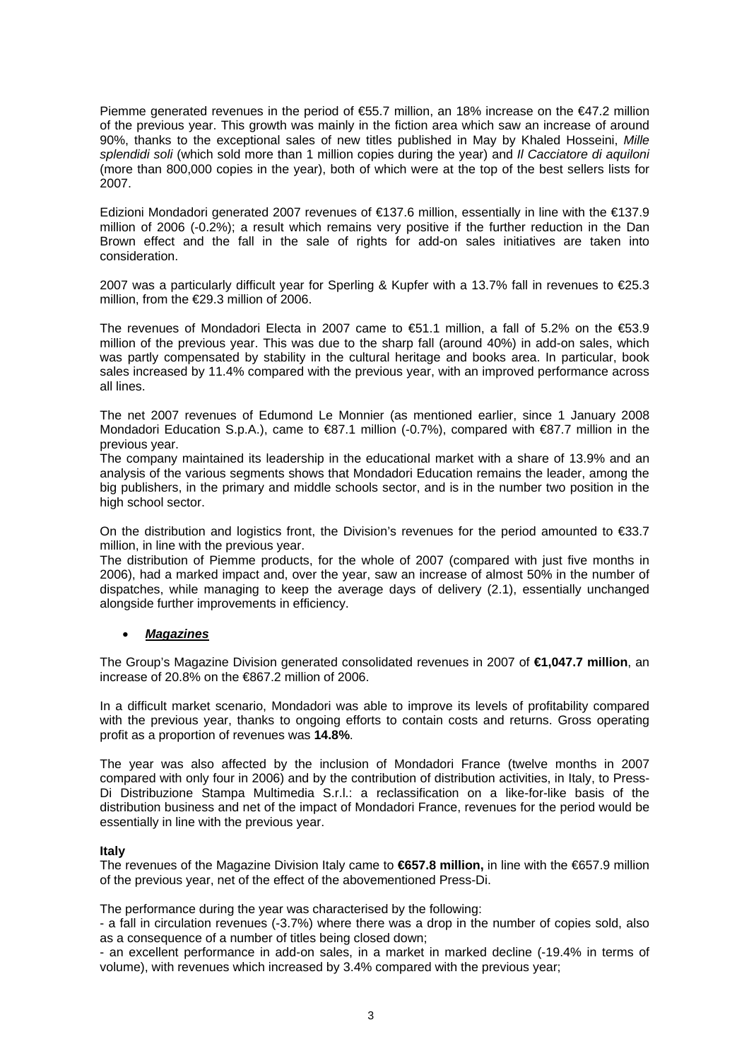Piemme generated revenues in the period of €55.7 million, an 18% increase on the €47.2 million of the previous year. This growth was mainly in the fiction area which saw an increase of around 90%, thanks to the exceptional sales of new titles published in May by Khaled Hosseini, *Mille splendidi soli* (which sold more than 1 million copies during the year) and *Il Cacciatore di aquiloni* (more than 800,000 copies in the year), both of which were at the top of the best sellers lists for 2007.

Edizioni Mondadori generated 2007 revenues of €137.6 million, essentially in line with the €137.9 million of 2006 (-0.2%); a result which remains very positive if the further reduction in the Dan Brown effect and the fall in the sale of rights for add-on sales initiatives are taken into consideration.

2007 was a particularly difficult year for Sperling & Kupfer with a 13.7% fall in revenues to €25.3 million, from the €29.3 million of 2006.

The revenues of Mondadori Electa in 2007 came to  $\text{\textsterling}51.1$  million, a fall of 5.2% on the  $\text{\textsterling}53.9$ million of the previous year. This was due to the sharp fall (around 40%) in add-on sales, which was partly compensated by stability in the cultural heritage and books area. In particular, book sales increased by 11.4% compared with the previous year, with an improved performance across all lines.

The net 2007 revenues of Edumond Le Monnier (as mentioned earlier, since 1 January 2008 Mondadori Education S.p.A.), came to €87.1 million (-0.7%), compared with €87.7 million in the previous year.

The company maintained its leadership in the educational market with a share of 13.9% and an analysis of the various segments shows that Mondadori Education remains the leader, among the big publishers, in the primary and middle schools sector, and is in the number two position in the high school sector.

On the distribution and logistics front, the Division's revenues for the period amounted to  $\epsilon$ 33.7 million, in line with the previous year.

The distribution of Piemme products, for the whole of 2007 (compared with just five months in 2006), had a marked impact and, over the year, saw an increase of almost 50% in the number of dispatches, while managing to keep the average days of delivery (2.1), essentially unchanged alongside further improvements in efficiency.

# • *Magazines*

The Group's Magazine Division generated consolidated revenues in 2007 of **€1,047.7 million**, an increase of 20.8% on the €867.2 million of 2006.

In a difficult market scenario, Mondadori was able to improve its levels of profitability compared with the previous year, thanks to ongoing efforts to contain costs and returns. Gross operating profit as a proportion of revenues was **14.8%**.

The year was also affected by the inclusion of Mondadori France (twelve months in 2007 compared with only four in 2006) and by the contribution of distribution activities, in Italy, to Press-Di Distribuzione Stampa Multimedia S.r.l.: a reclassification on a like-for-like basis of the distribution business and net of the impact of Mondadori France, revenues for the period would be essentially in line with the previous year.

#### **Italy**

The revenues of the Magazine Division Italy came to **€657.8 million,** in line with the €657.9 million of the previous year, net of the effect of the abovementioned Press-Di.

The performance during the year was characterised by the following:

- a fall in circulation revenues (-3.7%) where there was a drop in the number of copies sold, also as a consequence of a number of titles being closed down;

- an excellent performance in add-on sales, in a market in marked decline (-19.4% in terms of volume), with revenues which increased by 3.4% compared with the previous year;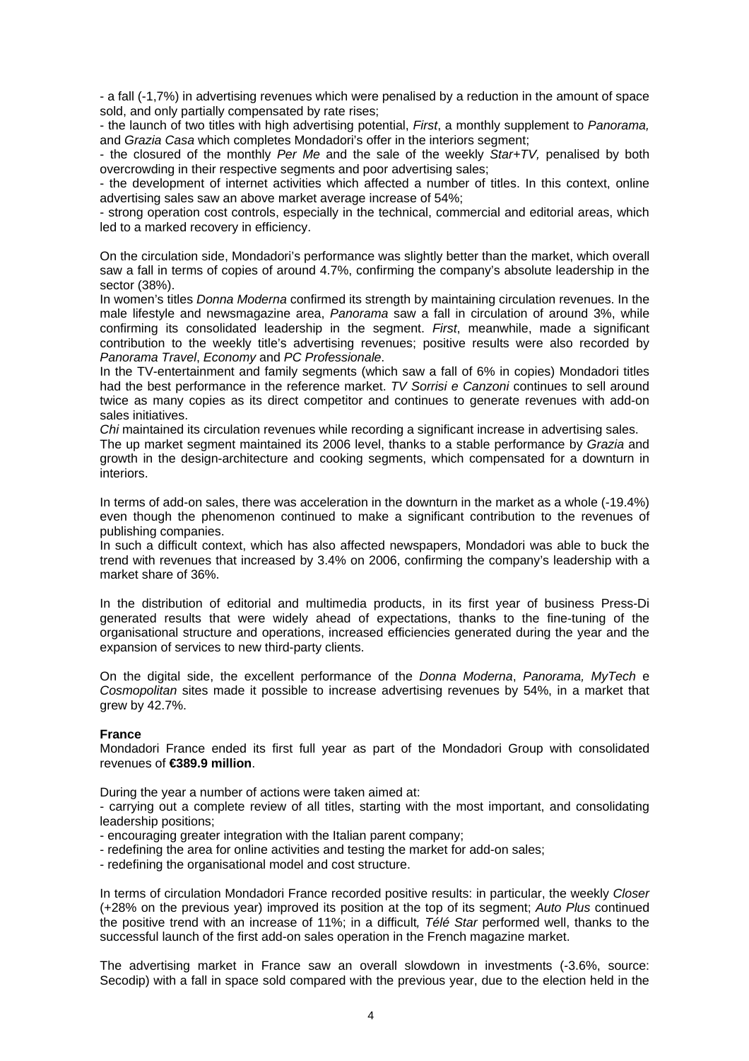- a fall (-1,7%) in advertising revenues which were penalised by a reduction in the amount of space sold, and only partially compensated by rate rises;

- the launch of two titles with high advertising potential, *First*, a monthly supplement to *Panorama,* and *Grazia Casa* which completes Mondadori's offer in the interiors segment;

- the closured of the monthly *Per Me* and the sale of the weekly *Star+TV,* penalised by both overcrowding in their respective segments and poor advertising sales;

- the development of internet activities which affected a number of titles. In this context, online advertising sales saw an above market average increase of 54%;

- strong operation cost controls, especially in the technical, commercial and editorial areas, which led to a marked recovery in efficiency.

On the circulation side, Mondadori's performance was slightly better than the market, which overall saw a fall in terms of copies of around 4.7%, confirming the company's absolute leadership in the sector (38%).

In women's titles *Donna Moderna* confirmed its strength by maintaining circulation revenues. In the male lifestyle and newsmagazine area, *Panorama* saw a fall in circulation of around 3%, while confirming its consolidated leadership in the segment. *First*, meanwhile, made a significant contribution to the weekly title's advertising revenues; positive results were also recorded by *Panorama Travel*, *Economy* and *PC Professionale*.

In the TV-entertainment and family segments (which saw a fall of 6% in copies) Mondadori titles had the best performance in the reference market. *TV Sorrisi e Canzoni* continues to sell around twice as many copies as its direct competitor and continues to generate revenues with add-on sales initiatives.

*Chi* maintained its circulation revenues while recording a significant increase in advertising sales.

The up market segment maintained its 2006 level, thanks to a stable performance by *Grazia* and growth in the design-architecture and cooking segments, which compensated for a downturn in interiors.

In terms of add-on sales, there was acceleration in the downturn in the market as a whole (-19.4%) even though the phenomenon continued to make a significant contribution to the revenues of publishing companies.

In such a difficult context, which has also affected newspapers, Mondadori was able to buck the trend with revenues that increased by 3.4% on 2006, confirming the company's leadership with a market share of 36%.

In the distribution of editorial and multimedia products, in its first year of business Press-Di generated results that were widely ahead of expectations, thanks to the fine-tuning of the organisational structure and operations, increased efficiencies generated during the year and the expansion of services to new third-party clients.

On the digital side, the excellent performance of the *Donna Moderna*, *Panorama, MyTech* e *Cosmopolitan* sites made it possible to increase advertising revenues by 54%, in a market that grew by 42.7%.

#### **France**

Mondadori France ended its first full year as part of the Mondadori Group with consolidated revenues of **€389.9 million**.

During the year a number of actions were taken aimed at:

- carrying out a complete review of all titles, starting with the most important, and consolidating leadership positions;

- encouraging greater integration with the Italian parent company;
- redefining the area for online activities and testing the market for add-on sales;
- redefining the organisational model and cost structure.

In terms of circulation Mondadori France recorded positive results: in particular, the weekly *Closer* (+28% on the previous year) improved its position at the top of its segment; *Auto Plus* continued the positive trend with an increase of 11%; in a difficult*, Télé Star* performed well, thanks to the successful launch of the first add-on sales operation in the French magazine market.

The advertising market in France saw an overall slowdown in investments (-3.6%, source: Secodip) with a fall in space sold compared with the previous year, due to the election held in the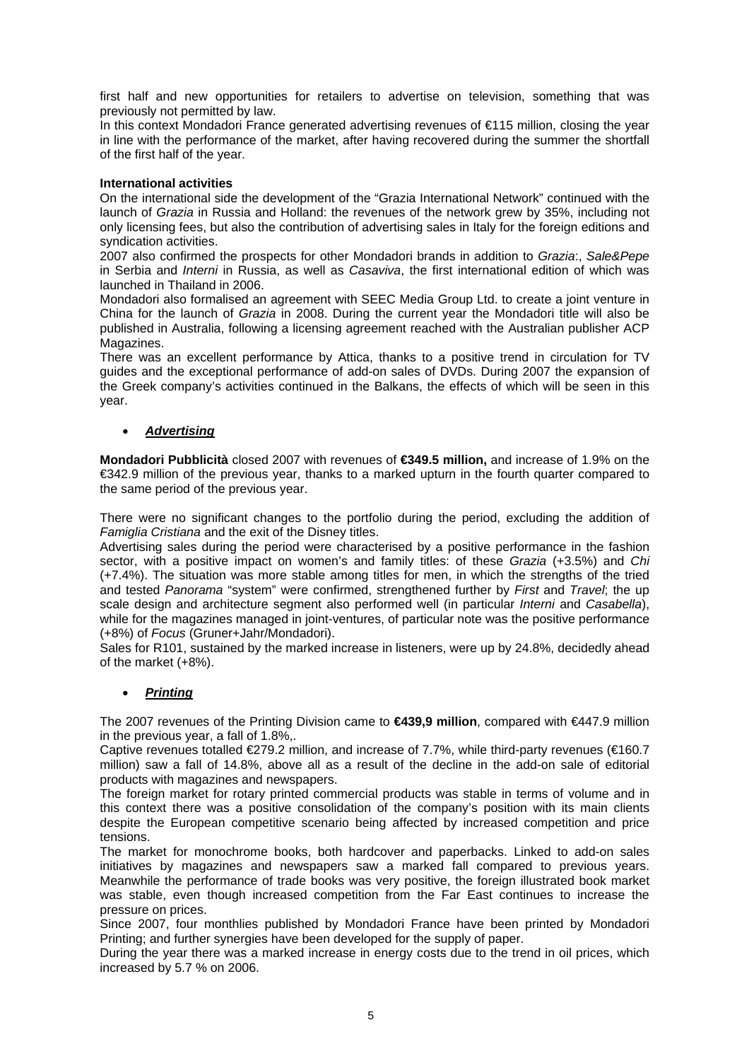first half and new opportunities for retailers to advertise on television, something that was previously not permitted by law.

In this context Mondadori France generated advertising revenues of €115 million, closing the year in line with the performance of the market, after having recovered during the summer the shortfall of the first half of the year.

#### **International activities**

On the international side the development of the "Grazia International Network" continued with the launch of *Grazia* in Russia and Holland: the revenues of the network grew by 35%, including not only licensing fees, but also the contribution of advertising sales in Italy for the foreign editions and syndication activities.

2007 also confirmed the prospects for other Mondadori brands in addition to *Grazia*:, *Sale&Pepe* in Serbia and *Interni* in Russia, as well as *Casaviva*, the first international edition of which was launched in Thailand in 2006.

Mondadori also formalised an agreement with SEEC Media Group Ltd. to create a joint venture in China for the launch of *Grazia* in 2008. During the current year the Mondadori title will also be published in Australia, following a licensing agreement reached with the Australian publisher ACP Magazines.

There was an excellent performance by Attica, thanks to a positive trend in circulation for TV guides and the exceptional performance of add-on sales of DVDs. During 2007 the expansion of the Greek company's activities continued in the Balkans, the effects of which will be seen in this year.

# • *Advertising*

**Mondadori Pubblicità** closed 2007 with revenues of **€349.5 million,** and increase of 1.9% on the €342.9 million of the previous year, thanks to a marked upturn in the fourth quarter compared to the same period of the previous year.

There were no significant changes to the portfolio during the period, excluding the addition of *Famiglia Cristiana* and the exit of the Disney titles.

Advertising sales during the period were characterised by a positive performance in the fashion sector, with a positive impact on women's and family titles: of these *Grazia* (+3.5%) and *Chi*  (+7.4%). The situation was more stable among titles for men, in which the strengths of the tried and tested *Panorama* "system" were confirmed, strengthened further by *First* and *Travel*; the up scale design and architecture segment also performed well (in particular *Interni* and *Casabella*), while for the magazines managed in joint-ventures, of particular note was the positive performance (+8%) of *Focus* (Gruner+Jahr/Mondadori).

Sales for R101, sustained by the marked increase in listeners, were up by 24.8%, decidedly ahead of the market (+8%).

# • *Printing*

The 2007 revenues of the Printing Division came to **€439,9 million**, compared with €447.9 million in the previous year, a fall of 1.8%,.

Captive revenues totalled €279.2 million, and increase of 7.7%, while third-party revenues (€160.7 million) saw a fall of 14.8%, above all as a result of the decline in the add-on sale of editorial products with magazines and newspapers.

The foreign market for rotary printed commercial products was stable in terms of volume and in this context there was a positive consolidation of the company's position with its main clients despite the European competitive scenario being affected by increased competition and price tensions.

The market for monochrome books, both hardcover and paperbacks. Linked to add-on sales initiatives by magazines and newspapers saw a marked fall compared to previous years. Meanwhile the performance of trade books was very positive, the foreign illustrated book market was stable, even though increased competition from the Far East continues to increase the pressure on prices.

Since 2007, four monthlies published by Mondadori France have been printed by Mondadori Printing; and further synergies have been developed for the supply of paper.

During the year there was a marked increase in energy costs due to the trend in oil prices, which increased by 5.7 % on 2006.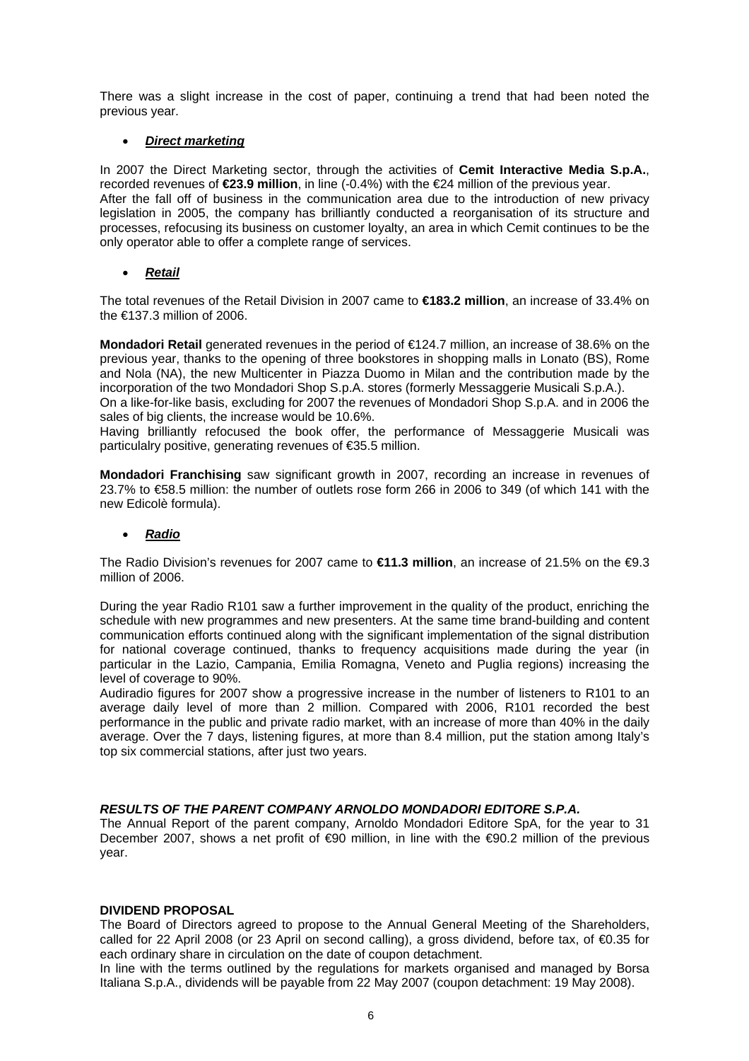There was a slight increase in the cost of paper, continuing a trend that had been noted the previous year.

# • *Direct marketing*

In 2007 the Direct Marketing sector, through the activities of **Cemit Interactive Media S.p.A.**, recorded revenues of **€23.9 million**, in line (-0.4%) with the €24 million of the previous year. After the fall off of business in the communication area due to the introduction of new privacy legislation in 2005, the company has brilliantly conducted a reorganisation of its structure and processes, refocusing its business on customer loyalty, an area in which Cemit continues to be the only operator able to offer a complete range of services.

# • *Retail*

The total revenues of the Retail Division in 2007 came to **€183.2 million**, an increase of 33.4% on the €137.3 million of 2006.

**Mondadori Retail** generated revenues in the period of €124.7 million, an increase of 38.6% on the previous year, thanks to the opening of three bookstores in shopping malls in Lonato (BS), Rome and Nola (NA), the new Multicenter in Piazza Duomo in Milan and the contribution made by the incorporation of the two Mondadori Shop S.p.A. stores (formerly Messaggerie Musicali S.p.A.).

On a like-for-like basis, excluding for 2007 the revenues of Mondadori Shop S.p.A. and in 2006 the sales of big clients, the increase would be 10.6%.

Having brilliantly refocused the book offer, the performance of Messaggerie Musicali was particulalry positive, generating revenues of €35.5 million.

**Mondadori Franchising** saw significant growth in 2007, recording an increase in revenues of 23.7% to €58.5 million: the number of outlets rose form 266 in 2006 to 349 (of which 141 with the new Edicolè formula).

# • *Radio*

The Radio Division's revenues for 2007 came to **€11.3 million**, an increase of 21.5% on the €9.3 million of 2006.

During the year Radio R101 saw a further improvement in the quality of the product, enriching the schedule with new programmes and new presenters. At the same time brand-building and content communication efforts continued along with the significant implementation of the signal distribution for national coverage continued, thanks to frequency acquisitions made during the year (in particular in the Lazio, Campania, Emilia Romagna, Veneto and Puglia regions) increasing the level of coverage to 90%.

Audiradio figures for 2007 show a progressive increase in the number of listeners to R101 to an average daily level of more than 2 million. Compared with 2006, R101 recorded the best performance in the public and private radio market, with an increase of more than 40% in the daily average. Over the 7 days, listening figures, at more than 8.4 million, put the station among Italy's top six commercial stations, after just two years.

# *RESULTS OF THE PARENT COMPANY ARNOLDO MONDADORI EDITORE S.P.A.*

The Annual Report of the parent company, Arnoldo Mondadori Editore SpA, for the year to 31 December 2007, shows a net profit of €90 million, in line with the €90.2 million of the previous year.

#### **DIVIDEND PROPOSAL**

The Board of Directors agreed to propose to the Annual General Meeting of the Shareholders, called for 22 April 2008 (or 23 April on second calling), a gross dividend, before tax, of €0.35 for each ordinary share in circulation on the date of coupon detachment.

In line with the terms outlined by the regulations for markets organised and managed by Borsa Italiana S.p.A., dividends will be payable from 22 May 2007 (coupon detachment: 19 May 2008).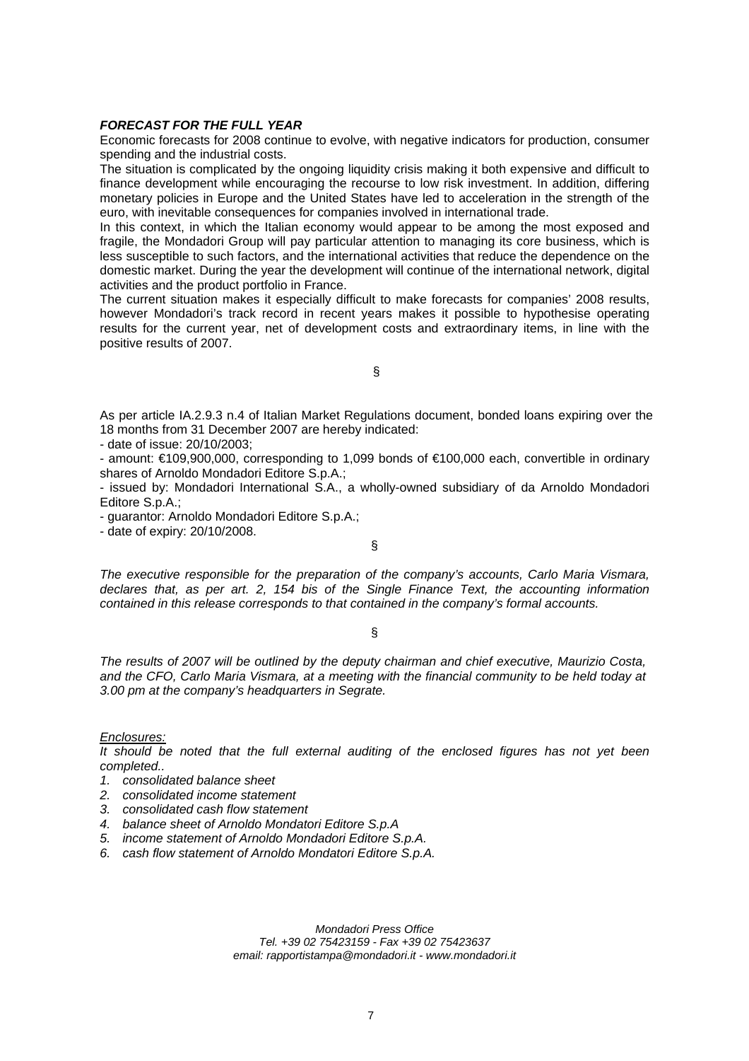#### *FORECAST FOR THE FULL YEAR*

Economic forecasts for 2008 continue to evolve, with negative indicators for production, consumer spending and the industrial costs.

The situation is complicated by the ongoing liquidity crisis making it both expensive and difficult to finance development while encouraging the recourse to low risk investment. In addition, differing monetary policies in Europe and the United States have led to acceleration in the strength of the euro, with inevitable consequences for companies involved in international trade.

In this context, in which the Italian economy would appear to be among the most exposed and fragile, the Mondadori Group will pay particular attention to managing its core business, which is less susceptible to such factors, and the international activities that reduce the dependence on the domestic market. During the year the development will continue of the international network, digital activities and the product portfolio in France.

The current situation makes it especially difficult to make forecasts for companies' 2008 results, however Mondadori's track record in recent years makes it possible to hypothesise operating results for the current year, net of development costs and extraordinary items, in line with the positive results of 2007.

§

As per article IA.2.9.3 n.4 of Italian Market Regulations document, bonded loans expiring over the 18 months from 31 December 2007 are hereby indicated:

- date of issue: 20/10/2003;

- amount: €109,900,000, corresponding to 1,099 bonds of €100,000 each, convertible in ordinary shares of Arnoldo Mondadori Editore S.p.A.;

- issued by: Mondadori International S.A., a wholly-owned subsidiary of da Arnoldo Mondadori Editore S.p.A.;

- guarantor: Arnoldo Mondadori Editore S.p.A.;

- date of expiry: 20/10/2008.

*The executive responsible for the preparation of the company's accounts, Carlo Maria Vismara, declares that, as per art. 2, 154 bis of the Single Finance Text, the accounting information contained in this release corresponds to that contained in the company's formal accounts.* 

§

§

*The results of 2007 will be outlined by the deputy chairman and chief executive, Maurizio Costa, and the CFO, Carlo Maria Vismara, at a meeting with the financial community to be held today at 3.00 pm at the company's headquarters in Segrate.* 

*Enclosures:*

*It should be noted that the full external auditing of the enclosed figures has not yet been completed..* 

- *1. consolidated balance sheet*
- *2. consolidated income statement*
- *3. consolidated cash flow statement*
- *4. balance sheet of Arnoldo Mondatori Editore S.p.A*
- *5. income statement of Arnoldo Mondadori Editore S.p.A.*
- *6. cash flow statement of Arnoldo Mondatori Editore S.p.A.*

*Mondadori Press Office Tel. +39 02 75423159 - Fax +39 02 75423637 email: [rapportistampa@mondadori.it](mailto:rapportistampa@mondadori.it) - [www.mondadori.it](http://www.mondadori.it/)*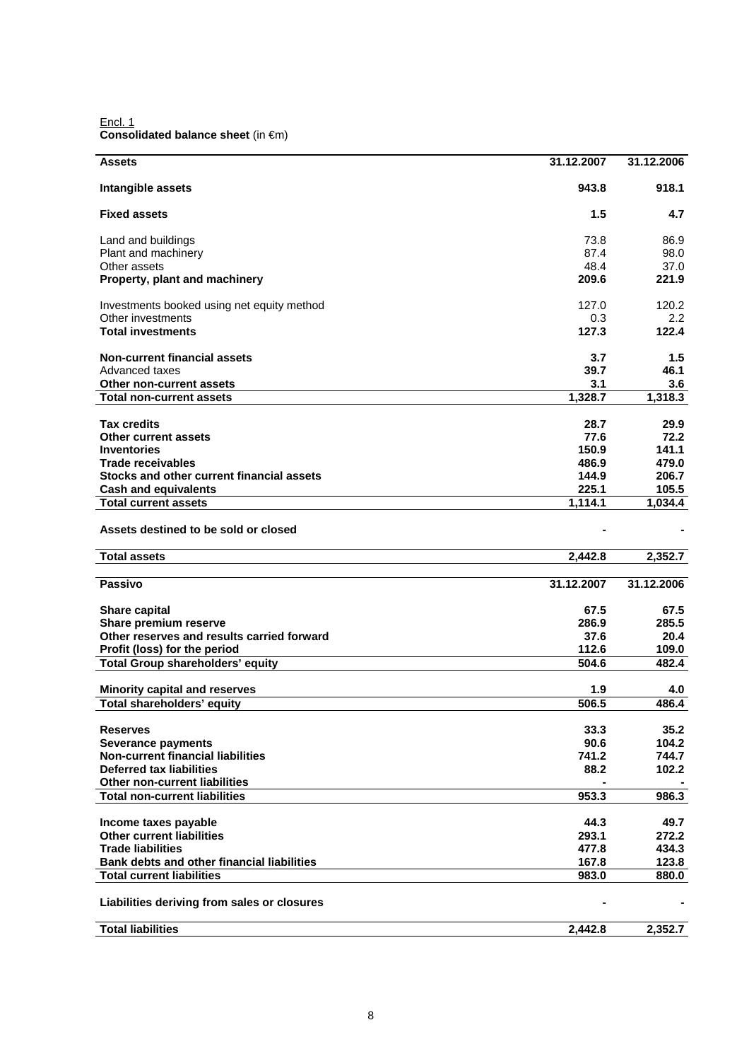Encl. 1 **Consolidated balance sheet** (in €m)

| <b>Assets</b>                               | 31.12.2007 | 31.12.2006 |
|---------------------------------------------|------------|------------|
| Intangible assets                           | 943.8      | 918.1      |
| <b>Fixed assets</b>                         | 1.5        | 4.7        |
| Land and buildings                          | 73.8       | 86.9       |
| Plant and machinery                         | 87.4       | 98.0       |
| Other assets                                | 48.4       | 37.0       |
| Property, plant and machinery               | 209.6      | 221.9      |
| Investments booked using net equity method  | 127.0      | 120.2      |
| Other investments                           | 0.3        | 2.2        |
| <b>Total investments</b>                    | 127.3      | 122.4      |
| <b>Non-current financial assets</b>         | 3.7        | 1.5        |
| Advanced taxes                              | 39.7       | 46.1       |
| Other non-current assets                    | 3.1        | 3.6        |
| <b>Total non-current assets</b>             | 1,328.7    | 1,318.3    |
| <b>Tax credits</b>                          | 28.7       | 29.9       |
| <b>Other current assets</b>                 | 77.6       | 72.2       |
| <b>Inventories</b>                          | 150.9      | 141.1      |
| <b>Trade receivables</b>                    | 486.9      | 479.0      |
| Stocks and other current financial assets   | 144.9      | 206.7      |
| <b>Cash and equivalents</b>                 | 225.1      | 105.5      |
| <b>Total current assets</b>                 | 1,114.1    | 1,034.4    |
| Assets destined to be sold or closed        |            |            |
| <b>Total assets</b>                         | 2,442.8    | 2,352.7    |
| Passivo                                     | 31.12.2007 | 31.12.2006 |
| <b>Share capital</b>                        | 67.5       | 67.5       |
| Share premium reserve                       | 286.9      | 285.5      |
| Other reserves and results carried forward  | 37.6       | 20.4       |
| Profit (loss) for the period                | 112.6      | 109.0      |
| <b>Total Group shareholders' equity</b>     | 504.6      | 482.4      |
| <b>Minority capital and reserves</b>        | 1.9        | 4.0        |
| Total shareholders' equity                  | 506.5      | 486.4      |
| <b>Reserves</b>                             | 33.3       | 35.2       |
| <b>Severance payments</b>                   | 90.6       | 104.2      |
| <b>Non-current financial liabilities</b>    | 741.2      | 744.7      |
| <b>Deferred tax liabilities</b>             | 88.2       | 102.2      |
| Other non-current liabilities               |            |            |
| <b>Total non-current liabilities</b>        | 953.3      | 986.3      |
| Income taxes payable                        | 44.3       | 49.7       |
| <b>Other current liabilities</b>            | 293.1      | 272.2      |
| <b>Trade liabilities</b>                    | 477.8      | 434.3      |
| Bank debts and other financial liabilities  | 167.8      | 123.8      |
| <b>Total current liabilities</b>            | 983.0      | 880.0      |
| Liabilities deriving from sales or closures |            |            |
| <b>Total liabilities</b>                    | 2,442.8    | 2,352.7    |
|                                             |            |            |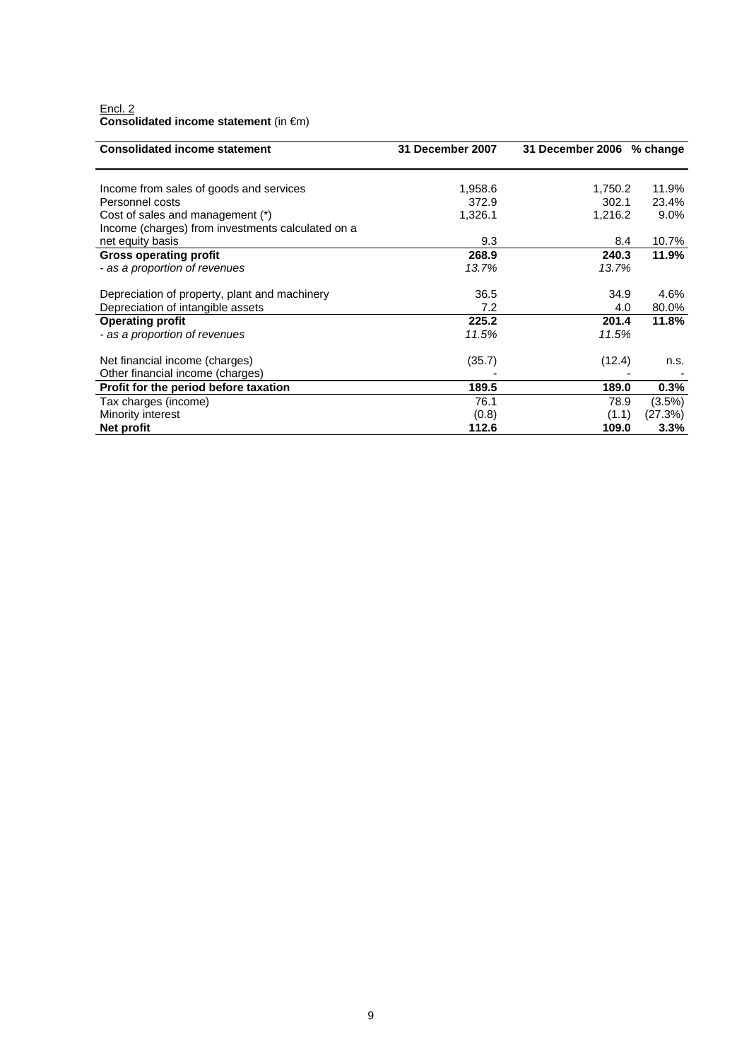#### Encl. 2 **Consolidated income statement** (in €m)

| <b>Consolidated income statement</b>              | 31 December 2007 | 31 December 2006 % change |           |
|---------------------------------------------------|------------------|---------------------------|-----------|
|                                                   |                  |                           |           |
| Income from sales of goods and services           | 1,958.6          | 1,750.2                   | 11.9%     |
| Personnel costs                                   | 372.9            | 302.1                     | 23.4%     |
| Cost of sales and management (*)                  | 1,326.1          | 1,216.2                   | $9.0\%$   |
| Income (charges) from investments calculated on a |                  |                           |           |
| net equity basis                                  | 9.3              | 8.4                       | 10.7%     |
| <b>Gross operating profit</b>                     | 268.9            | 240.3                     | 11.9%     |
| - as a proportion of revenues                     | 13.7%            | 13.7%                     |           |
| Depreciation of property, plant and machinery     | 36.5             | 34.9                      | 4.6%      |
| Depreciation of intangible assets                 | 7.2              | 4.0                       | 80.0%     |
| <b>Operating profit</b>                           | 225.2            | 201.4                     | 11.8%     |
| - as a proportion of revenues                     | 11.5%            | 11.5%                     |           |
| Net financial income (charges)                    | (35.7)           | (12.4)                    | n.s.      |
| Other financial income (charges)                  |                  |                           |           |
| Profit for the period before taxation             | 189.5            | 189.0                     | 0.3%      |
| Tax charges (income)                              | 76.1             | 78.9                      | $(3.5\%)$ |
| Minority interest                                 | (0.8)            | (1.1)                     | (27.3%)   |
| Net profit                                        | 112.6            | 109.0                     | 3.3%      |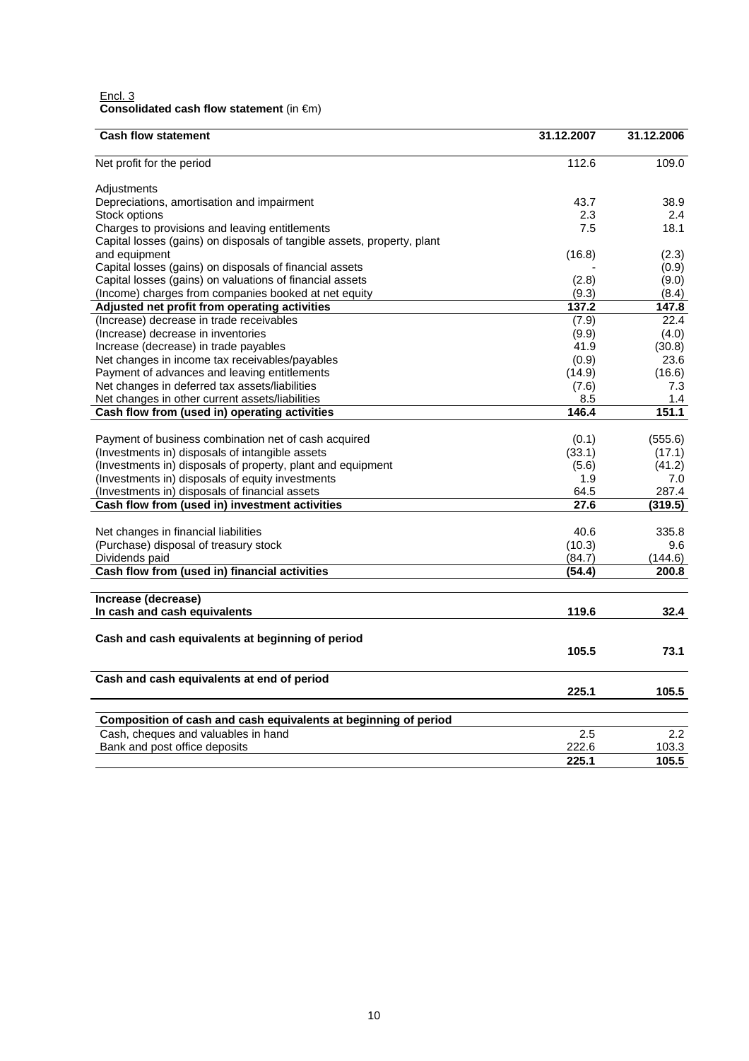| Encl. 3                                            |  |
|----------------------------------------------------|--|
| Consolidated cash flow statement (in $\epsilon$ m) |  |

| <b>Cash flow statement</b>                                                                              | 31.12.2007 | 31.12.2006 |
|---------------------------------------------------------------------------------------------------------|------------|------------|
| Net profit for the period                                                                               | 112.6      | 109.0      |
| Adjustments                                                                                             |            |            |
| Depreciations, amortisation and impairment                                                              | 43.7       | 38.9       |
| Stock options                                                                                           | 2.3        | 2.4        |
| Charges to provisions and leaving entitlements                                                          | 7.5        | 18.1       |
| Capital losses (gains) on disposals of tangible assets, property, plant                                 |            |            |
| and equipment                                                                                           | (16.8)     | (2.3)      |
| Capital losses (gains) on disposals of financial assets                                                 |            | (0.9)      |
| Capital losses (gains) on valuations of financial assets                                                | (2.8)      | (9.0)      |
| (Income) charges from companies booked at net equity                                                    | (9.3)      | (8.4)      |
| Adjusted net profit from operating activities                                                           | 137.2      | 147.8      |
| (Increase) decrease in trade receivables                                                                | (7.9)      | 22.4       |
| (Increase) decrease in inventories                                                                      | (9.9)      | (4.0)      |
| Increase (decrease) in trade payables                                                                   | 41.9       | (30.8)     |
| Net changes in income tax receivables/payables                                                          | (0.9)      | 23.6       |
| Payment of advances and leaving entitlements                                                            | (14.9)     | (16.6)     |
| Net changes in deferred tax assets/liabilities                                                          | (7.6)      | 7.3        |
| Net changes in other current assets/liabilities                                                         | 8.5        | 1.4        |
| Cash flow from (used in) operating activities                                                           | 146.4      | 151.1      |
|                                                                                                         |            |            |
|                                                                                                         |            |            |
| Payment of business combination net of cash acquired<br>(Investments in) disposals of intangible assets | (0.1)      | (555.6)    |
|                                                                                                         | (33.1)     | (17.1)     |
| (Investments in) disposals of property, plant and equipment                                             | (5.6)      | (41.2)     |
| (Investments in) disposals of equity investments                                                        | 1.9        | 7.0        |
| (Investments in) disposals of financial assets<br>Cash flow from (used in) investment activities        | 64.5       | 287.4      |
|                                                                                                         | 27.6       | (319.5)    |
| Net changes in financial liabilities                                                                    | 40.6       | 335.8      |
| (Purchase) disposal of treasury stock                                                                   | (10.3)     | 9.6        |
| Dividends paid                                                                                          | (84.7)     | (144.6)    |
| Cash flow from (used in) financial activities                                                           | (54.4)     | 200.8      |
|                                                                                                         |            |            |
| Increase (decrease)                                                                                     |            |            |
| In cash and cash equivalents                                                                            | 119.6      | 32.4       |
|                                                                                                         |            |            |
| Cash and cash equivalents at beginning of period                                                        |            |            |
|                                                                                                         | 105.5      | 73.1       |
| Cash and cash equivalents at end of period                                                              |            |            |
|                                                                                                         | 225.1      | 105.5      |
|                                                                                                         |            |            |
| Composition of cash and cash equivalents at beginning of period                                         |            |            |
| Cash, cheques and valuables in hand                                                                     | 2.5        | 2.2        |
| Bank and post office deposits                                                                           | 222.6      | 103.3      |
|                                                                                                         | 225.1      | 105.5      |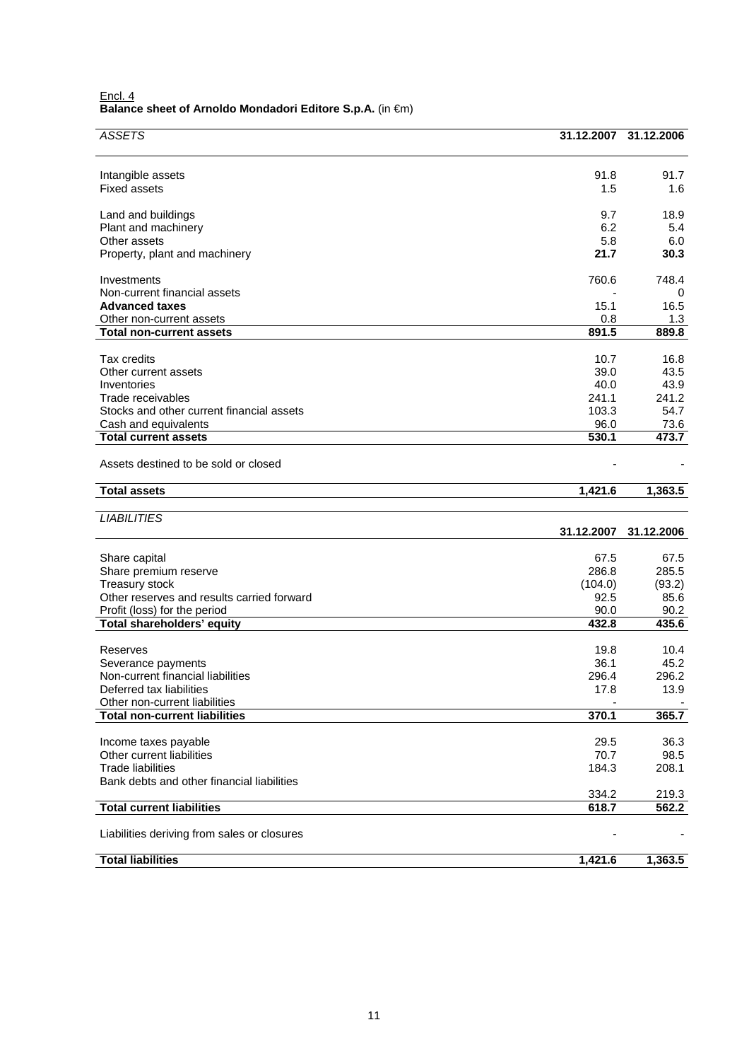| Encl. 4                                                   |  |
|-----------------------------------------------------------|--|
| Balance sheet of Arnoldo Mondadori Editore S.p.A. (in €m) |  |

| <b>ASSETS</b>                                                          | 31.12.2007      | 31.12.2006     |
|------------------------------------------------------------------------|-----------------|----------------|
|                                                                        |                 |                |
| Intangible assets                                                      | 91.8            | 91.7           |
| <b>Fixed assets</b>                                                    | 1.5             | 1.6            |
|                                                                        |                 |                |
| Land and buildings                                                     | 9.7<br>6.2      | 18.9<br>5.4    |
| Plant and machinery<br>Other assets                                    | 5.8             | 6.0            |
| Property, plant and machinery                                          | 21.7            | 30.3           |
|                                                                        | 760.6           | 748.4          |
| Investments<br>Non-current financial assets                            |                 | 0              |
| <b>Advanced taxes</b>                                                  | 15.1            | 16.5           |
| Other non-current assets                                               | 0.8             | 1.3            |
| <b>Total non-current assets</b>                                        | 891.5           | 889.8          |
| Tax credits                                                            | 10.7            | 16.8           |
| Other current assets                                                   | 39.0            | 43.5           |
| Inventories                                                            | 40.0            | 43.9           |
| Trade receivables<br>Stocks and other current financial assets         | 241.1<br>103.3  | 241.2<br>54.7  |
| Cash and equivalents                                                   | 96.0            | 73.6           |
| <b>Total current assets</b>                                            | 530.1           | 473.7          |
| Assets destined to be sold or closed                                   |                 |                |
| <b>Total assets</b>                                                    | 1,421.6         | 1,363.5        |
|                                                                        |                 |                |
| <b>LIABILITIES</b>                                                     | 31.12.2007      | 31.12.2006     |
|                                                                        |                 |                |
|                                                                        |                 | 67.5           |
| Share capital                                                          | 67.5            |                |
| Share premium reserve                                                  | 286.8           | 285.5          |
| <b>Treasury stock</b><br>Other reserves and results carried forward    | (104.0)<br>92.5 | (93.2)<br>85.6 |
| Profit (loss) for the period                                           | 90.0            | 90.2           |
| Total shareholders' equity                                             | 432.8           | 435.6          |
| Reserves                                                               | 19.8            | 10.4           |
| Severance payments                                                     | 36.1            | 45.2           |
| Non-current financial liabilities                                      | 296.4           | 296.2          |
| Deferred tax liabilities                                               | 17.8            | 13.9           |
| Other non-current liabilities<br><b>Total non-current liabilities</b>  | 370.1           | 365.7          |
|                                                                        |                 |                |
| Income taxes payable                                                   | 29.5            | 36.3           |
| Other current liabilities                                              | 70.7            | 98.5           |
| <b>Trade liabilities</b><br>Bank debts and other financial liabilities | 184.3           | 208.1          |
|                                                                        | 334.2           | 219.3          |
| <b>Total current liabilities</b>                                       | 618.7           | 562.2          |
| Liabilities deriving from sales or closures                            |                 |                |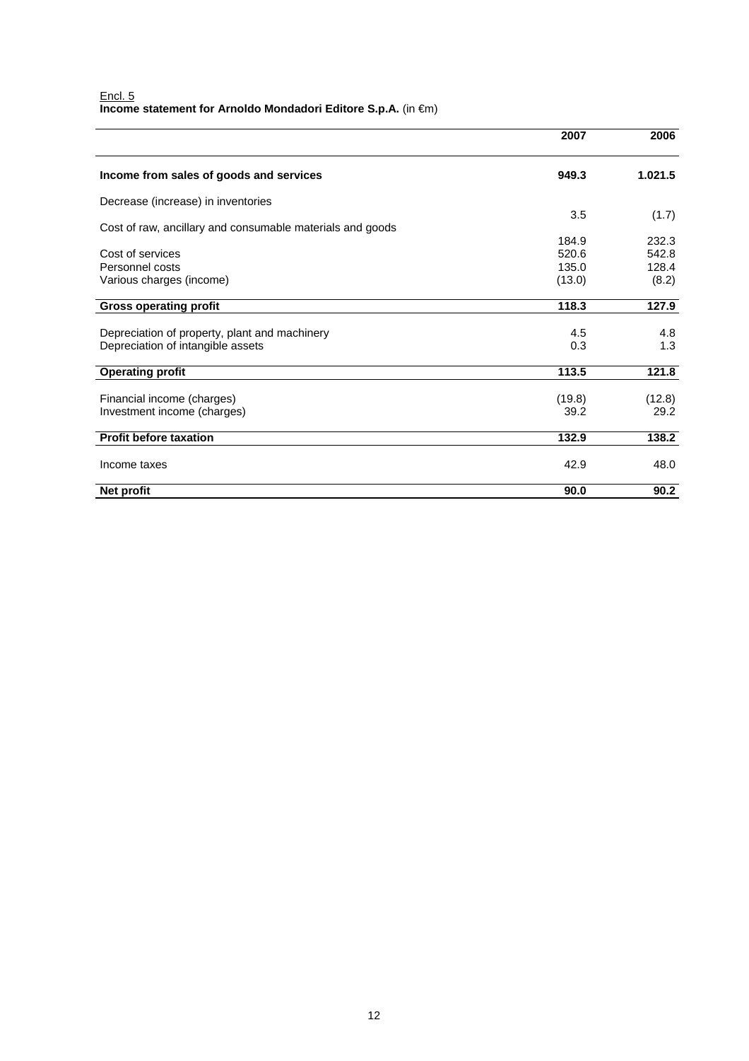|                                                           | 2007   | 2006    |
|-----------------------------------------------------------|--------|---------|
| Income from sales of goods and services                   | 949.3  | 1.021.5 |
| Decrease (increase) in inventories                        |        |         |
|                                                           | 3.5    | (1.7)   |
| Cost of raw, ancillary and consumable materials and goods |        |         |
|                                                           | 184.9  | 232.3   |
| Cost of services                                          | 520.6  | 542.8   |
| Personnel costs                                           | 135.0  | 128.4   |
| Various charges (income)                                  | (13.0) | (8.2)   |
| <b>Gross operating profit</b>                             | 118.3  | 127.9   |
| Depreciation of property, plant and machinery             | 4.5    | 4.8     |
| Depreciation of intangible assets                         | 0.3    | 1.3     |
| <b>Operating profit</b>                                   | 113.5  | 121.8   |
| Financial income (charges)                                | (19.8) | (12.8)  |
| Investment income (charges)                               | 39.2   | 29.2    |
| <b>Profit before taxation</b>                             | 132.9  | 138.2   |
| Income taxes                                              | 42.9   | 48.0    |
| Net profit                                                | 90.0   | 90.2    |